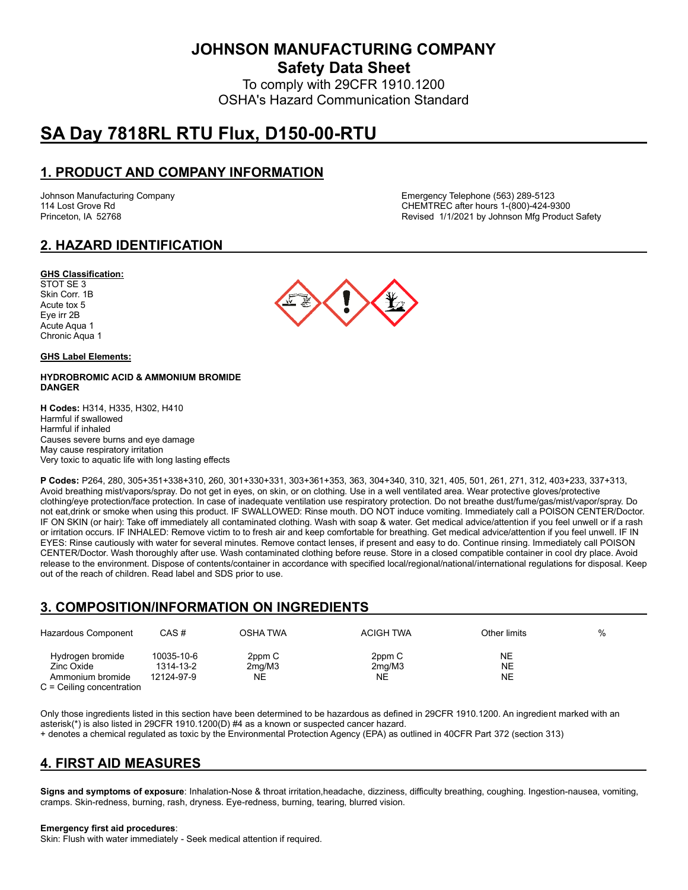**JOHNSON MANUFACTURING COMPANY**

**Safety Data Sheet**

To comply with 29CFR 1910.1200 OSHA's Hazard Communication Standard

# **SA Day 7818RL RTU Flux, D150-00-RTU**

# **1. PRODUCT AND COMPANY INFORMATION**

Johnson Manufacturing Company Emergency Telephone (563) 289-5123 114 Lost Grove Rd CHEMTREC after hours 1-(800)-424-9300 Princeton, IA 52768 **Revised 1/1/2021 by Johnson Mfg Product Safety** Revised 1/1/2021 by Johnson Mfg Product Safety

# **2. HAZARD IDENTIFICATION**

### **GHS Classification:**

STOT SE 3 Skin Corr. 1B Acute tox 5 Eye irr 2B Acute Aqua 1 Chronic Aqua 1

#### **GHS Label Elements:**

### **HYDROBROMIC ACID & AMMONIUM BROMIDE DANGER**

**H Codes:** H314, H335, H302, H410 Harmful if swallowed Harmful if inhaled Causes severe burns and eye damage May cause respiratory irritation Very toxic to aquatic life with long lasting effects

**P Codes:** P264, 280, 305+351+338+310, 260, 301+330+331, 303+361+353, 363, 304+340, 310, 321, 405, 501, 261, 271, 312, 403+233, 337+313, Avoid breathing mist/vapors/spray. Do not get in eyes, on skin, or on clothing. Use in a well ventilated area. Wear protective gloves/protective clothing/eye protection/face protection. In case of inadequate ventilation use respiratory protection. Do not breathe dust/fume/gas/mist/vapor/spray. Do not eat,drink or smoke when using this product. IF SWALLOWED: Rinse mouth. DO NOT induce vomiting. Immediately call a POISON CENTER/Doctor. IF ON SKIN (or hair): Take off immediately all contaminated clothing. Wash with soap & water. Get medical advice/attention if you feel unwell or if a rash or irritation occurs. IF INHALED: Remove victim to to fresh air and keep comfortable for breathing. Get medical advice/attention if you feel unwell. IF IN EYES: Rinse cautiously with water for several minutes. Remove contact lenses, if present and easy to do. Continue rinsing. Immediately call POISON CENTER/Doctor. Wash thoroughly after use. Wash contaminated clothing before reuse. Store in a closed compatible container in cool dry place. Avoid release to the environment. Dispose of contents/container in accordance with specified local/regional/national/international regulations for disposal. Keep out of the reach of children. Read label and SDS prior to use.

# **3. COMPOSITION/INFORMATION ON INGREDIENTS**

| Hazardous Component                                                               | CAS#                                  | OSHA TWA               | <b>ACIGH TWA</b>                    | Other limits    | % |
|-----------------------------------------------------------------------------------|---------------------------------------|------------------------|-------------------------------------|-----------------|---|
| Hydrogen bromide<br>Zinc Oxide<br>Ammonium bromide<br>$C =$ Ceiling concentration | 10035-10-6<br>1314-13-2<br>12124-97-9 | 2ppm C<br>2mq/M3<br>NΕ | 2ppm C<br>2 <sub>mq</sub> /M3<br>NΕ | NE.<br>NE<br>NE |   |

Only those ingredients listed in this section have been determined to be hazardous as defined in 29CFR 1910.1200. An ingredient marked with an asterisk(\*) is also listed in 29CFR 1910.1200(D) #4 as a known or suspected cancer hazard.

+ denotes a chemical regulated as toxic by the Environmental Protection Agency (EPA) as outlined in 40CFR Part 372 (section 313)

# **4. FIRST AID MEASURES**

**Signs and symptoms of exposure**: Inhalation-Nose & throat irritation,headache, dizziness, difficulty breathing, coughing. Ingestion-nausea, vomiting, cramps. Skin-redness, burning, rash, dryness. Eye-redness, burning, tearing, blurred vision.

#### **Emergency first aid procedures**:

Skin: Flush with water immediately - Seek medical attention if required.

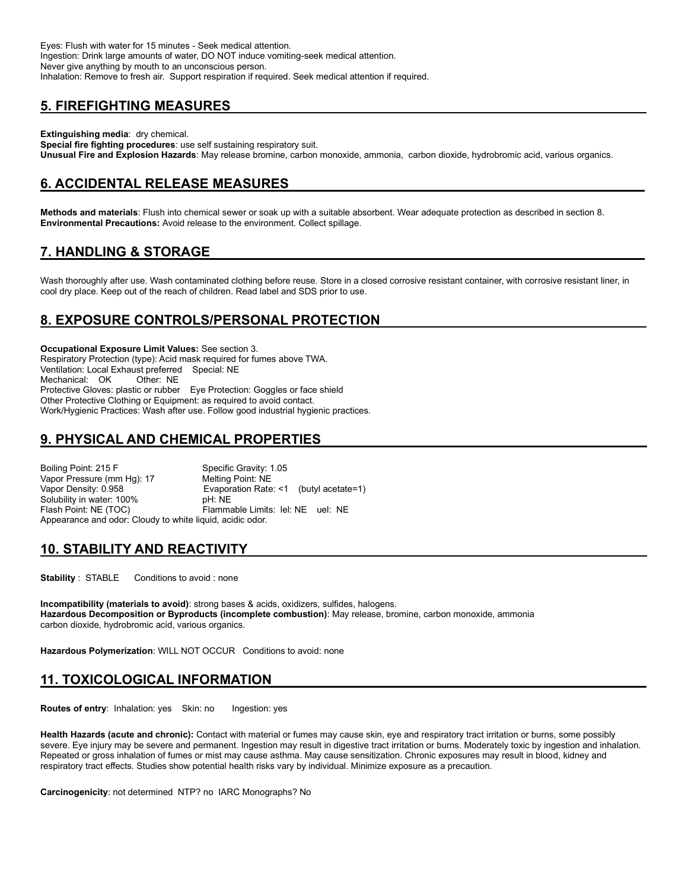Eyes: Flush with water for 15 minutes - Seek medical attention. Ingestion: Drink large amounts of water, DO NOT induce vomiting-seek medical attention. Never give anything by mouth to an unconscious person. Inhalation: Remove to fresh air. Support respiration if required. Seek medical attention if required.

# **5. FIREFIGHTING MEASURES**

**Extinguishing media**: dry chemical.

**Special fire fighting procedures**: use self sustaining respiratory suit. **Unusual Fire and Explosion Hazards**: May release bromine, carbon monoxide, ammonia, carbon dioxide, hydrobromic acid, various organics.

# **6. ACCIDENTAL RELEASE MEASURES**

**Methods and materials**: Flush into chemical sewer or soak up with a suitable absorbent. Wear adequate protection as described in section 8. **Environmental Precautions:** Avoid release to the environment. Collect spillage.

# **7. HANDLING & STORAGE**

Wash thoroughly after use. Wash contaminated clothing before reuse. Store in a closed corrosive resistant container, with corrosive resistant liner, in cool dry place. Keep out of the reach of children. Read label and SDS prior to use.

# **8. EXPOSURE CONTROLS/PERSONAL PROTECTION**

**Occupational Exposure Limit Values:** See section 3. Respiratory Protection (type): Acid mask required for fumes above TWA. Ventilation: Local Exhaust preferred Special: NE Mechanical: OK Protective Gloves: plastic or rubber Eye Protection: Goggles or face shield Other Protective Clothing or Equipment: as required to avoid contact. Work/Hygienic Practices: Wash after use. Follow good industrial hygienic practices.

# **9. PHYSICAL AND CHEMICAL PROPERTIES**

Boiling Point: 215 F Specific Gravity: 1.05 Vapor Pressure (mm Hg): 17 Melting Point: NE Vapor Density: 0.958 **Evaporation Rate: <1** (butyl acetate=1)<br>Solubility in water: 100% **Example: NE** Solubility in water: 100% Flash Point: NE (TOC) Flammable Limits: lel: NE uel: NE Appearance and odor: Cloudy to white liquid, acidic odor.

### **10. STABILITY AND REACTIVITY**

**Stability** : STABLE Conditions to avoid : none

**Incompatibility (materials to avoid)**: strong bases & acids, oxidizers, sulfides, halogens. **Hazardous Decomposition or Byproducts (incomplete combustion)**: May release, bromine, carbon monoxide, ammonia carbon dioxide, hydrobromic acid, various organics.

**Hazardous Polymerization**: WILL NOT OCCUR Conditions to avoid: none

# **11. TOXICOLOGICAL INFORMATION**

**Routes of entry:** Inhalation: yes Skin: no Ingestion: yes

**Health Hazards (acute and chronic):** Contact with material or fumes may cause skin, eye and respiratory tract irritation or burns, some possibly severe. Eye injury may be severe and permanent. Ingestion may result in digestive tract irritation or burns. Moderately toxic by ingestion and inhalation. Repeated or gross inhalation of fumes or mist may cause asthma. May cause sensitization. Chronic exposures may result in blood, kidney and respiratory tract effects. Studies show potential health risks vary by individual. Minimize exposure as a precaution.

**Carcinogenicity**: not determined NTP? no IARC Monographs? No